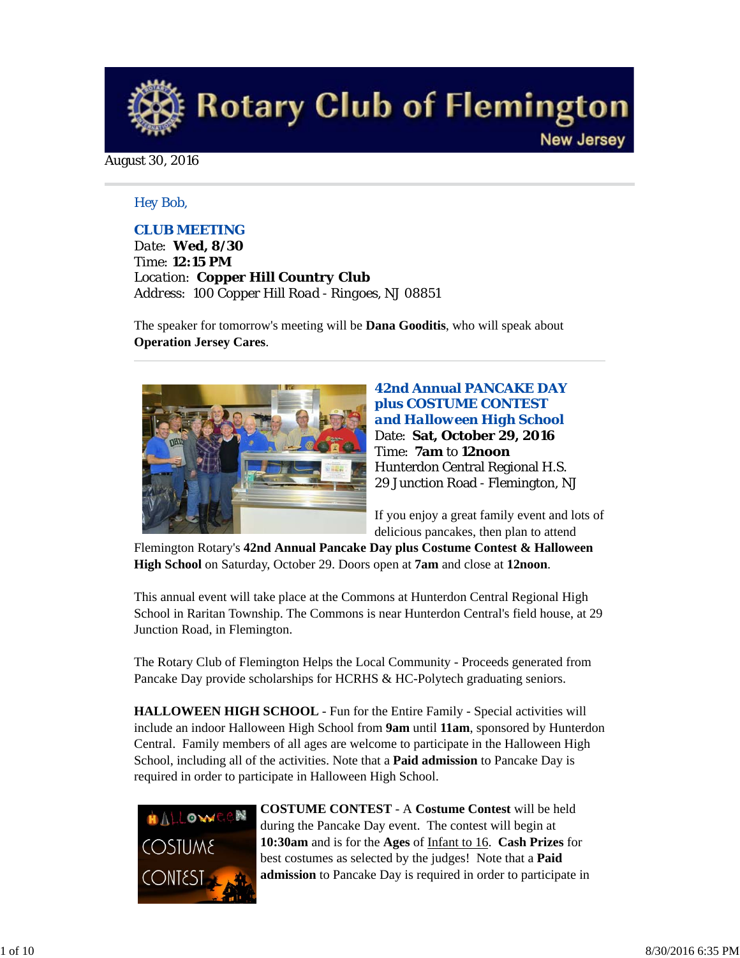

August 30, 2016

## *Hey Bob,*

## *CLUB MEETING*

*Date: Wed, 8/30 Time: 12:15 PM Location: Copper Hill Country Club Address: 100 Copper Hill Road - Ringoes, NJ 08851*

The speaker for tomorrow's meeting will be **Dana Gooditis**, who will speak about **Operation Jersey Cares**.



**42nd Annual PANCAKE DAY plus COSTUME CONTEST**  *and Halloween High School* Date: **Sat, October 29, 2016** Time: **7am** to **12noon** Hunterdon Central Regional H.S. 29 Junction Road - Flemington, NJ

If you enjoy a great family event and lots of delicious pancakes, then plan to attend

Flemington Rotary's **42nd Annual Pancake Day plus Costume Contest & Halloween High School** on Saturday, October 29. Doors open at **7am** and close at **12noon**.

This annual event will take place at the Commons at Hunterdon Central Regional High School in Raritan Township. The Commons is near Hunterdon Central's field house, at 29 Junction Road, in Flemington.

The Rotary Club of Flemington Helps the Local Community - Proceeds generated from Pancake Day provide scholarships for HCRHS & HC-Polytech graduating seniors.

**HALLOWEEN HIGH SCHOOL** - Fun for the Entire Family - Special activities will include an indoor Halloween High School from **9am** until **11am**, sponsored by Hunterdon Central. Family members of all ages are welcome to participate in the Halloween High School, including all of the activities. Note that a **Paid admission** to Pancake Day is required in order to participate in Halloween High School.



**COSTUME CONTEST** - A **Costume Contest** will be held during the Pancake Day event. The contest will begin at **10:30am** and is for the **Ages** of Infant to 16. **Cash Prizes** for best costumes as selected by the judges! Note that a **Paid admission** to Pancake Day is required in order to participate in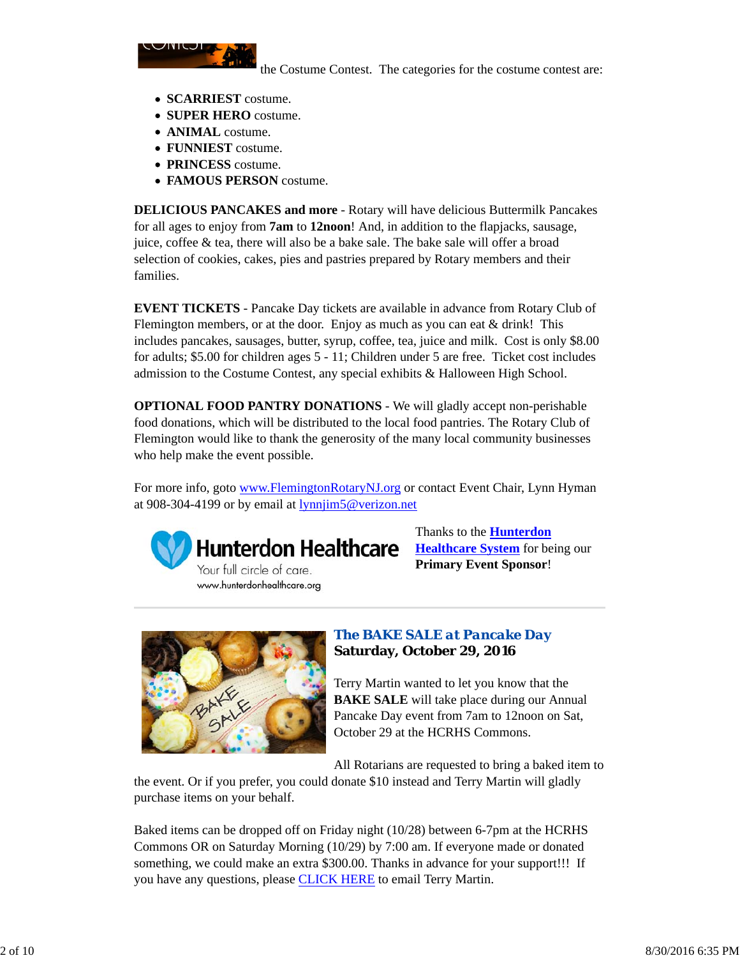

the Costume Contest. The categories for the costume contest are:

- **SCARRIEST** costume.
- **SUPER HERO** costume.
- **ANIMAL** costume.
- **FUNNIEST** costume.
- **PRINCESS** costume.
- **FAMOUS PERSON** costume.

**DELICIOUS PANCAKES and more** - Rotary will have delicious Buttermilk Pancakes for all ages to enjoy from **7am** to **12noon**! And, in addition to the flapjacks, sausage, juice, coffee & tea, there will also be a bake sale. The bake sale will offer a broad selection of cookies, cakes, pies and pastries prepared by Rotary members and their families.

**EVENT TICKETS** - Pancake Day tickets are available in advance from Rotary Club of Flemington members, or at the door. Enjoy as much as you can eat  $&$  drink! This includes pancakes, sausages, butter, syrup, coffee, tea, juice and milk. Cost is only \$8.00 for adults; \$5.00 for children ages 5 - 11; Children under 5 are free. Ticket cost includes admission to the Costume Contest, any special exhibits & Halloween High School.

**OPTIONAL FOOD PANTRY DONATIONS** - We will gladly accept non-perishable food donations, which will be distributed to the local food pantries. The Rotary Club of Flemington would like to thank the generosity of the many local community businesses who help make the event possible.

For more info, goto www.FlemingtonRotaryNJ.org or contact Event Chair, Lynn Hyman at 908-304-4199 or by email at lynnjim5@verizon.net



Your full circle of care. www.hunterdonhealthcare.org Thanks to the **Hunterdon Healthcare System** for being our **Primary Event Sponsor**!



# *The BAKE SALE at Pancake Day* **Saturday, October 29, 2016**

Terry Martin wanted to let you know that the **BAKE SALE** will take place during our Annual Pancake Day event from 7am to 12noon on Sat, October 29 at the HCRHS Commons.

All Rotarians are requested to bring a baked item to

the event. Or if you prefer, you could donate \$10 instead and Terry Martin will gladly purchase items on your behalf.

Baked items can be dropped off on Friday night (10/28) between 6-7pm at the HCRHS Commons OR on Saturday Morning (10/29) by 7:00 am. If everyone made or donated something, we could make an extra \$300.00. Thanks in advance for your support!!! If you have any questions, please CLICK HERE to email Terry Martin.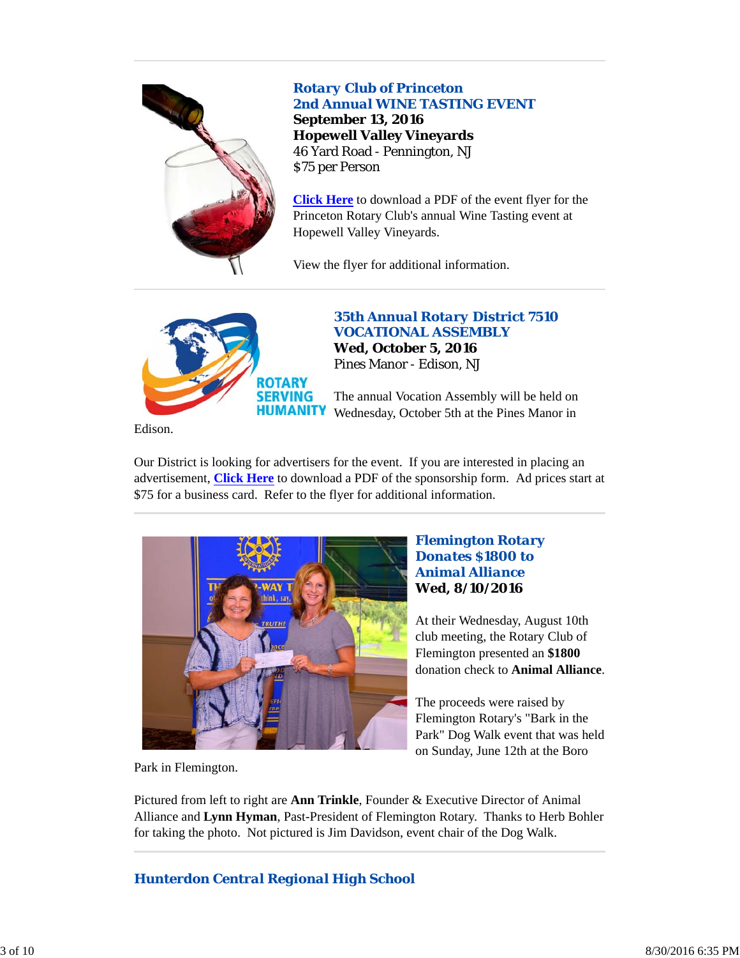

# *Rotary Club of Princeton 2nd Annual WINE TASTING EVENT*

**September 13, 2016 Hopewell Valley Vineyards** 46 Yard Road - Pennington, NJ \$75 per Person

**Click Here** to download a PDF of the event flyer for the Princeton Rotary Club's annual Wine Tasting event at Hopewell Valley Vineyards.

View the flyer for additional information.



*35th Annual Rotary District 7510 VOCATIONAL ASSEMBLY* **Wed, October 5, 2016** Pines Manor - Edison, NJ

The annual Vocation Assembly will be held on Wednesday, October 5th at the Pines Manor in

Edison.

Our District is looking for advertisers for the event. If you are interested in placing an advertisement, **Click Here** to download a PDF of the sponsorship form. Ad prices start at \$75 for a business card. Refer to the flyer for additional information.



# *Flemington Rotary Donates \$1800 to Animal Alliance* **Wed, 8/10/2016**

At their Wednesday, August 10th club meeting, the Rotary Club of Flemington presented an **\$1800** donation check to **Animal Alliance**.

The proceeds were raised by Flemington Rotary's "Bark in the Park" Dog Walk event that was held on Sunday, June 12th at the Boro

Park in Flemington.

Pictured from left to right are **Ann Trinkle**, Founder & Executive Director of Animal Alliance and **Lynn Hyman**, Past-President of Flemington Rotary. Thanks to Herb Bohler for taking the photo. Not pictured is Jim Davidson, event chair of the Dog Walk.

# *Hunterdon Central Regional High School*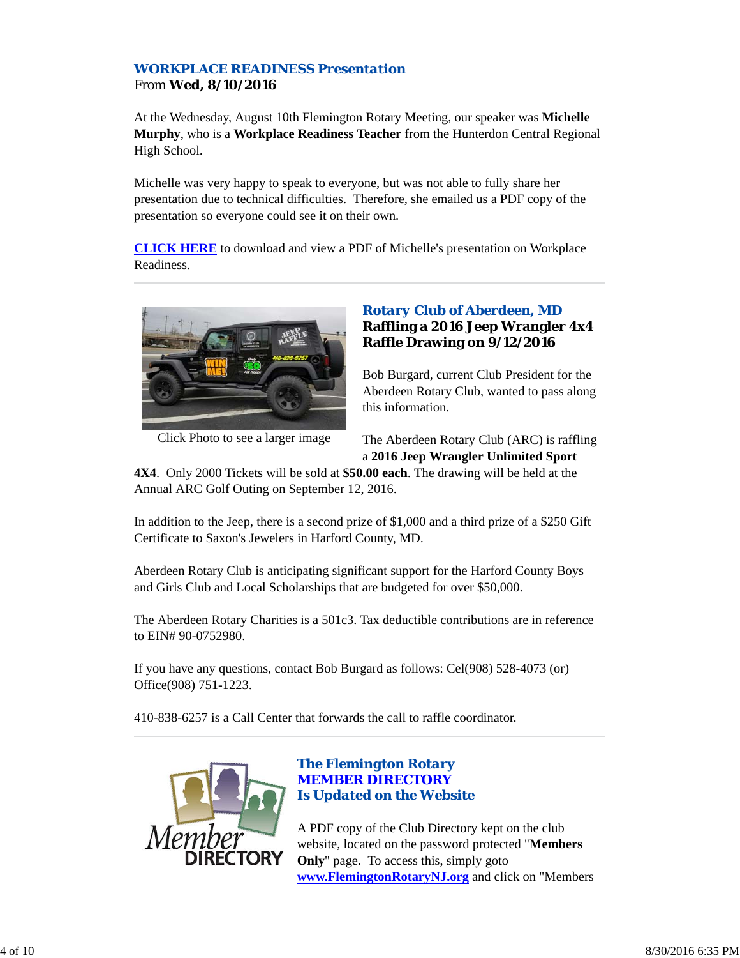# *WORKPLACE READINESS Presentation* From **Wed, 8/10/2016**

At the Wednesday, August 10th Flemington Rotary Meeting, our speaker was **Michelle Murphy**, who is a **Workplace Readiness Teacher** from the Hunterdon Central Regional High School.

Michelle was very happy to speak to everyone, but was not able to fully share her presentation due to technical difficulties. Therefore, she emailed us a PDF copy of the presentation so everyone could see it on their own.

**CLICK HERE** to download and view a PDF of Michelle's presentation on Workplace Readiness.



Click Photo to see a larger image

# *Rotary Club of Aberdeen, MD* **Raffling a 2016 Jeep Wrangler 4x4 Raffle Drawing on 9/12/2016**

Bob Burgard, current Club President for the Aberdeen Rotary Club, wanted to pass along this information.

The Aberdeen Rotary Club (ARC) is raffling a **2016 Jeep Wrangler Unlimited Sport**

**4X4**. Only 2000 Tickets will be sold at **\$50.00 each**. The drawing will be held at the Annual ARC Golf Outing on September 12, 2016.

In addition to the Jeep, there is a second prize of \$1,000 and a third prize of a \$250 Gift Certificate to Saxon's Jewelers in Harford County, MD.

Aberdeen Rotary Club is anticipating significant support for the Harford County Boys and Girls Club and Local Scholarships that are budgeted for over \$50,000.

The Aberdeen Rotary Charities is a 501c3. Tax deductible contributions are in reference to EIN# 90-0752980.

If you have any questions, contact Bob Burgard as follows: Cel(908) 528-4073 (or) Office(908) 751-1223.

410-838-6257 is a Call Center that forwards the call to raffle coordinator.



# *The Flemington Rotary MEMBER DIRECTORY Is Updated on the Website*

A PDF copy of the Club Directory kept on the club website, located on the password protected "**Members Only**" page. To access this, simply goto **www.FlemingtonRotaryNJ.org** and click on "Members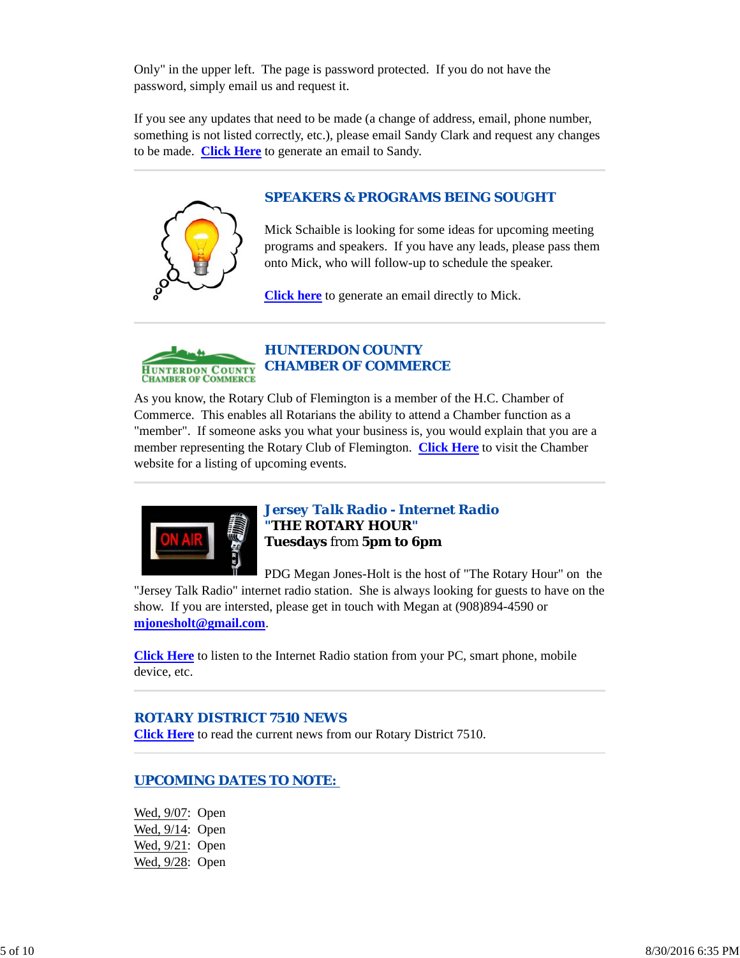Only" in the upper left. The page is password protected. If you do not have the password, simply email us and request it.

If you see any updates that need to be made (a change of address, email, phone number, something is not listed correctly, etc.), please email Sandy Clark and request any changes to be made. **Click Here** to generate an email to Sandy.

# *SPEAKERS & PROGRAMS BEING SOUGHT*

Mick Schaible is looking for some ideas for upcoming meeting programs and speakers. If you have any leads, please pass them onto Mick, who will follow-up to schedule the speaker.

**Click here** to generate an email directly to Mick.



# *HUNTERDON COUNTY CHAMBER OF COMMERCE*

As you know, the Rotary Club of Flemington is a member of the H.C. Chamber of Commerce. This enables all Rotarians the ability to attend a Chamber function as a "member". If someone asks you what your business is, you would explain that you are a member representing the Rotary Club of Flemington. **Click Here** to visit the Chamber website for a listing of upcoming events.



*Jersey Talk Radio - Internet Radio "THE ROTARY HOUR"* **Tuesdays** from **5pm to 6pm**

PDG Megan Jones-Holt is the host of "The Rotary Hour" on the

"Jersey Talk Radio" internet radio station. She is always looking for guests to have on the show. If you are intersted, please get in touch with Megan at (908)894-4590 or **mjonesholt@gmail.com**.

**Click Here** to listen to the Internet Radio station from your PC, smart phone, mobile device, etc.

# *ROTARY DISTRICT 7510 NEWS*

**Click Here** to read the current news from our Rotary District 7510.

# *UPCOMING DATES TO NOTE:*

Wed, 9/07: Open Wed, 9/14: Open Wed, 9/21: Open Wed, 9/28: Open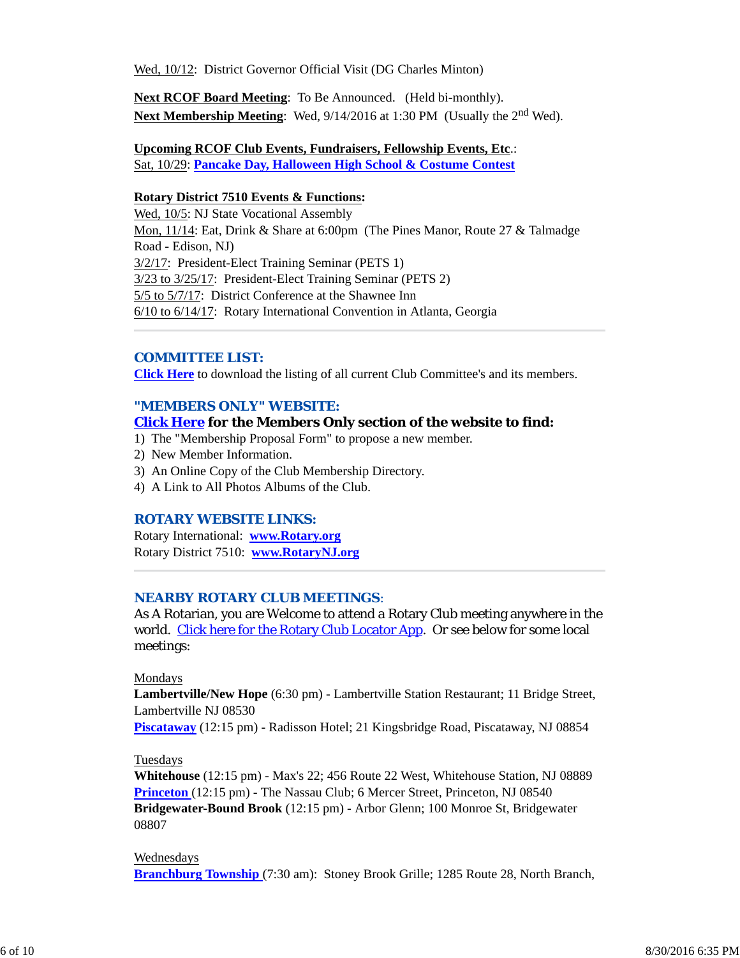Wed, 10/12: District Governor Official Visit (DG Charles Minton)

**Next RCOF Board Meeting**: To Be Announced. (Held bi-monthly). **Next Membership Meeting:** Wed,  $9/14/2016$  at 1:30 PM (Usually the 2<sup>nd</sup> Wed).

#### **Upcoming RCOF Club Events, Fundraisers, Fellowship Events, Etc**.: Sat, 10/29: **Pancake Day, Halloween High School & Costume Contest**

#### **Rotary District 7510 Events & Functions:**

Wed, 10/5: NJ State Vocational Assembly Mon, 11/14: Eat, Drink & Share at 6:00pm (The Pines Manor, Route 27 & Talmadge Road - Edison, NJ) 3/2/17: President-Elect Training Seminar (PETS 1) 3/23 to 3/25/17: President-Elect Training Seminar (PETS 2) 5/5 to 5/7/17: District Conference at the Shawnee Inn 6/10 to 6/14/17: Rotary International Convention in Atlanta, Georgia

### *COMMITTEE LIST:*

**Click Here** to download the listing of all current Club Committee's and its members.

#### *"MEMBERS ONLY" WEBSITE:*

#### **Click Here for the Members Only section of the website to find:**

- 1) The "Membership Proposal Form" to propose a new member.
- 2) New Member Information.
- 3) An Online Copy of the Club Membership Directory.
- 4) A Link to All Photos Albums of the Club.

#### *ROTARY WEBSITE LINKS:*

Rotary International: **www.Rotary.org** Rotary District 7510: **www.RotaryNJ.org**

#### *NEARBY ROTARY CLUB MEETINGS:*

As A Rotarian, you are Welcome to attend a Rotary Club meeting anywhere in the world. Click here for the Rotary Club Locator App. Or see below for some local meetings:

### Mondays

**Lambertville/New Hope** (6:30 pm) - Lambertville Station Restaurant; 11 Bridge Street, Lambertville NJ 08530

**Piscataway** (12:15 pm) - Radisson Hotel; 21 Kingsbridge Road, Piscataway, NJ 08854

#### Tuesdays

**Whitehouse** (12:15 pm) - Max's 22; 456 Route 22 West, Whitehouse Station, NJ 08889 **Princeton** (12:15 pm) - The Nassau Club; 6 Mercer Street, Princeton, NJ 08540 **Bridgewater-Bound Brook** (12:15 pm) - Arbor Glenn; 100 Monroe St, Bridgewater 08807

#### Wednesdays

**Branchburg Township** (7:30 am): Stoney Brook Grille; 1285 Route 28, North Branch,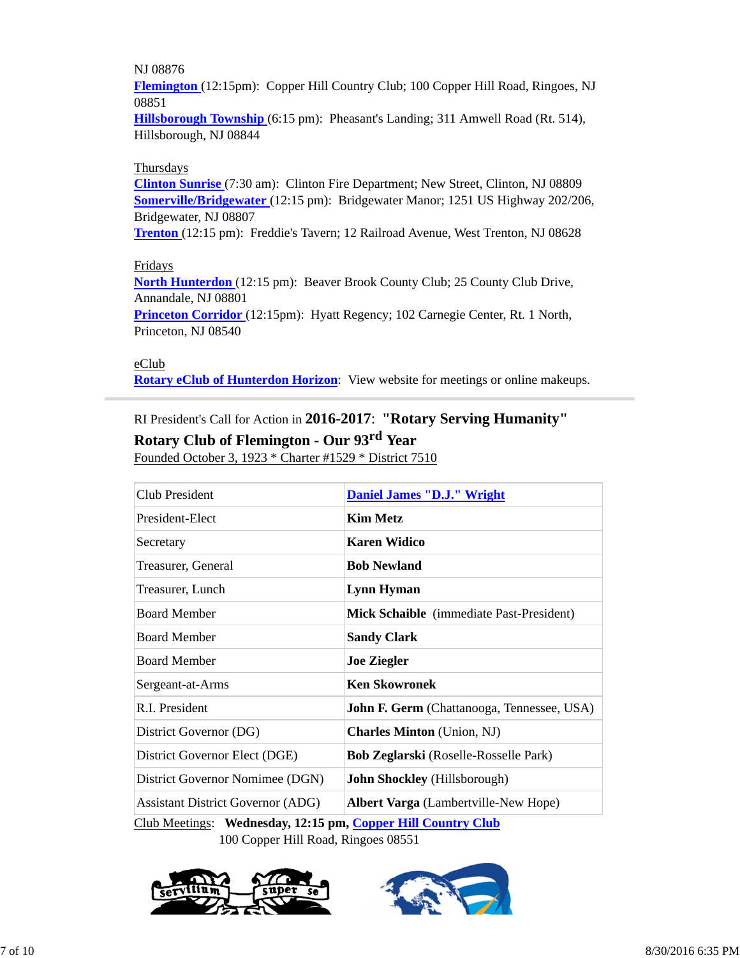## NJ 08876

**Flemington** (12:15pm): Copper Hill Country Club; 100 Copper Hill Road, Ringoes, NJ 08851

**Hillsborough Township** (6:15 pm): Pheasant's Landing; 311 Amwell Road (Rt. 514), Hillsborough, NJ 08844

## Thursdays

**Clinton Sunrise** (7:30 am): Clinton Fire Department; New Street, Clinton, NJ 08809 **Somerville/Bridgewater** (12:15 pm): Bridgewater Manor; 1251 US Highway 202/206, Bridgewater, NJ 08807

**Trenton** (12:15 pm): Freddie's Tavern; 12 Railroad Avenue, West Trenton, NJ 08628

## Fridays

**North Hunterdon** (12:15 pm): Beaver Brook County Club; 25 County Club Drive, Annandale, NJ 08801

**Princeton Corridor** (12:15pm): Hyatt Regency; 102 Carnegie Center, Rt. 1 North, Princeton, NJ 08540

## eClub

**Rotary eClub of Hunterdon Horizon**: View website for meetings or online makeups.

# RI President's Call for Action in **2016-2017**: **"Rotary Serving Humanity"**

# **Rotary Club of Flemington - Our 93rd Year**

Founded October 3, 1923 \* Charter #1529 \* District 7510

| Club President                           | <b>Daniel James "D.J." Wright</b>                 |  |
|------------------------------------------|---------------------------------------------------|--|
| President-Elect                          | <b>Kim Metz</b>                                   |  |
| Secretary                                | <b>Karen Widico</b>                               |  |
| Treasurer, General                       | <b>Bob Newland</b>                                |  |
| Treasurer, Lunch                         | Lynn Hyman                                        |  |
| <b>Board Member</b>                      | <b>Mick Schaible</b> (immediate Past-President)   |  |
| <b>Board Member</b>                      | <b>Sandy Clark</b>                                |  |
| <b>Board Member</b>                      | <b>Joe Ziegler</b>                                |  |
| Sergeant-at-Arms                         | <b>Ken Skowronek</b>                              |  |
| R.I. President                           | <b>John F. Germ</b> (Chattanooga, Tennessee, USA) |  |
| District Governor (DG)                   | <b>Charles Minton</b> (Union, NJ)                 |  |
| District Governor Elect (DGE)            | Bob Zeglarski (Roselle-Rosselle Park)             |  |
| District Governor Nomimee (DGN)          | <b>John Shockley</b> (Hillsborough)               |  |
| <b>Assistant District Governor (ADG)</b> | Albert Varga (Lambertville-New Hope)              |  |

Club Meetings: **Wednesday, 12:15 pm, Copper Hill Country Club** 100 Copper Hill Road, Ringoes 08551



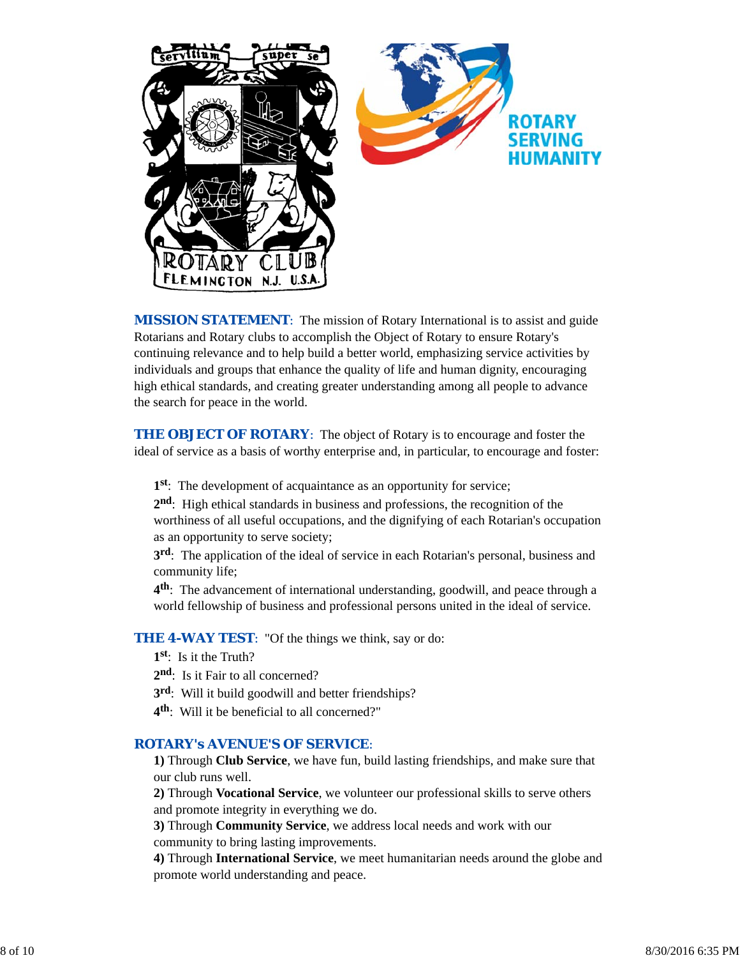

*MISSION STATEMENT*: The mission of Rotary International is to assist and guide Rotarians and Rotary clubs to accomplish the Object of Rotary to ensure Rotary's continuing relevance and to help build a better world, emphasizing service activities by individuals and groups that enhance the quality of life and human dignity, encouraging high ethical standards, and creating greater understanding among all people to advance the search for peace in the world.

**THE OBJECT OF ROTARY:** The object of Rotary is to encourage and foster the ideal of service as a basis of worthy enterprise and, in particular, to encourage and foster:

**1st**: The development of acquaintance as an opportunity for service;

**2nd**: High ethical standards in business and professions, the recognition of the worthiness of all useful occupations, and the dignifying of each Rotarian's occupation as an opportunity to serve society;

**3rd**: The application of the ideal of service in each Rotarian's personal, business and community life;

**4th**: The advancement of international understanding, goodwill, and peace through a world fellowship of business and professional persons united in the ideal of service.

**THE 4-WAY TEST:** "Of the things we think, say or do:

- **1st**: Is it the Truth?
- 2<sup>nd</sup>: Is it Fair to all concerned?
- **3rd**: Will it build goodwill and better friendships?
- **4th**: Will it be beneficial to all concerned?"

## *ROTARY's AVENUE'S OF SERVICE*:

**1)** Through **Club Service**, we have fun, build lasting friendships, and make sure that our club runs well.

**2)** Through **Vocational Service**, we volunteer our professional skills to serve others and promote integrity in everything we do.

**3)** Through **Community Service**, we address local needs and work with our community to bring lasting improvements.

**4)** Through **International Service**, we meet humanitarian needs around the globe and promote world understanding and peace.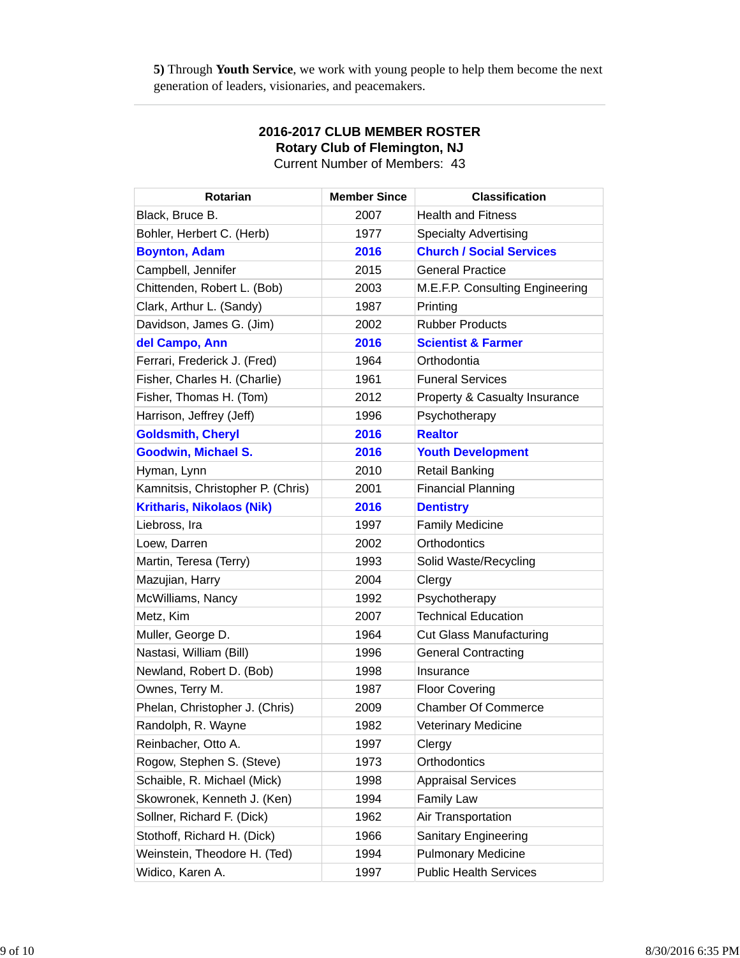**5)** Through **Youth Service**, we work with young people to help them become the next generation of leaders, visionaries, and peacemakers.

| <b>Rotarian</b>                   | <b>Member Since</b> | <b>Classification</b>           |
|-----------------------------------|---------------------|---------------------------------|
| Black, Bruce B.                   | 2007                | <b>Health and Fitness</b>       |
| Bohler, Herbert C. (Herb)         | 1977                | <b>Specialty Advertising</b>    |
| <b>Boynton, Adam</b>              | 2016                | <b>Church / Social Services</b> |
| Campbell, Jennifer                | 2015                | <b>General Practice</b>         |
| Chittenden, Robert L. (Bob)       | 2003                | M.E.F.P. Consulting Engineering |
| Clark, Arthur L. (Sandy)          | 1987                | Printing                        |
| Davidson, James G. (Jim)          | 2002                | <b>Rubber Products</b>          |
| del Campo, Ann                    | 2016                | <b>Scientist &amp; Farmer</b>   |
| Ferrari, Frederick J. (Fred)      | 1964                | Orthodontia                     |
| Fisher, Charles H. (Charlie)      | 1961                | <b>Funeral Services</b>         |
| Fisher, Thomas H. (Tom)           | 2012                | Property & Casualty Insurance   |
| Harrison, Jeffrey (Jeff)          | 1996                | Psychotherapy                   |
| <b>Goldsmith, Cheryl</b>          | 2016                | <b>Realtor</b>                  |
| <b>Goodwin, Michael S.</b>        | 2016                | <b>Youth Development</b>        |
| Hyman, Lynn                       | 2010                | <b>Retail Banking</b>           |
| Kamnitsis, Christopher P. (Chris) | 2001                | <b>Financial Planning</b>       |
| <b>Kritharis, Nikolaos (Nik)</b>  | 2016                | <b>Dentistry</b>                |
| Liebross, Ira                     | 1997                | <b>Family Medicine</b>          |
| Loew, Darren                      | 2002                | Orthodontics                    |
| Martin, Teresa (Terry)            | 1993                | Solid Waste/Recycling           |
| Mazujian, Harry                   | 2004                | Clergy                          |
| McWilliams, Nancy                 | 1992                | Psychotherapy                   |
| Metz, Kim                         | 2007                | <b>Technical Education</b>      |
| Muller, George D.                 | 1964                | <b>Cut Glass Manufacturing</b>  |
| Nastasi, William (Bill)           | 1996                | <b>General Contracting</b>      |
| Newland, Robert D. (Bob)          | 1998                | Insurance                       |
| Ownes, Terry M.                   | 1987                | <b>Floor Covering</b>           |
| Phelan, Christopher J. (Chris)    | 2009                | <b>Chamber Of Commerce</b>      |
| Randolph, R. Wayne                | 1982                | <b>Veterinary Medicine</b>      |
| Reinbacher, Otto A.               | 1997                | Clergy                          |
| Rogow, Stephen S. (Steve)         | 1973                | Orthodontics                    |
| Schaible, R. Michael (Mick)       | 1998                | <b>Appraisal Services</b>       |
| Skowronek, Kenneth J. (Ken)       | 1994                | <b>Family Law</b>               |
| Sollner, Richard F. (Dick)        | 1962                | Air Transportation              |
| Stothoff, Richard H. (Dick)       | 1966                | <b>Sanitary Engineering</b>     |
| Weinstein, Theodore H. (Ted)      | 1994                | <b>Pulmonary Medicine</b>       |
| Widico, Karen A.                  | 1997                | <b>Public Health Services</b>   |

**2016-2017 CLUB MEMBER ROSTER Rotary Club of Flemington, NJ** Current Number of Members: 43